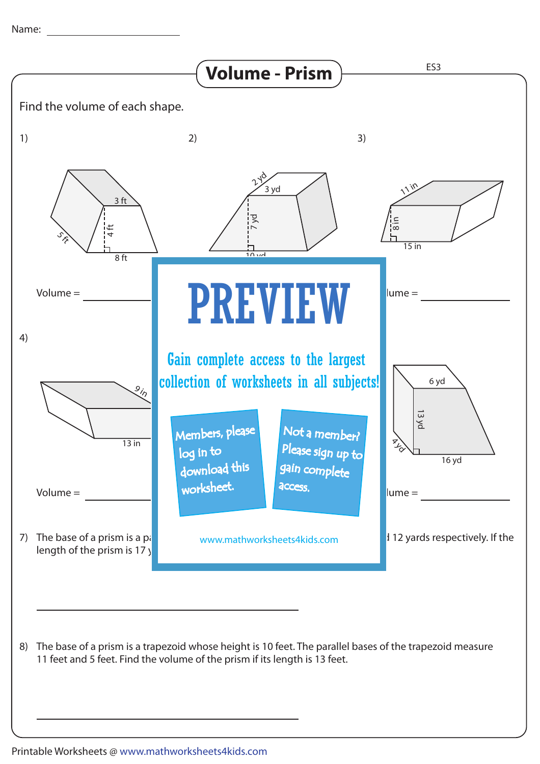